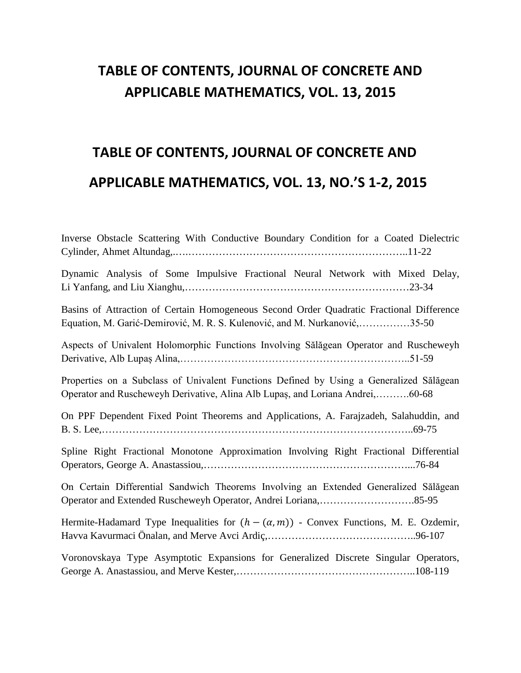## **TABLE OF CONTENTS, JOURNAL OF CONCRETE AND APPLICABLE MATHEMATICS, VOL. 13, 2015**

## **TABLE OF CONTENTS, JOURNAL OF CONCRETE AND APPLICABLE MATHEMATICS, VOL. 13, NO.'S 1-2, 2015**

| Inverse Obstacle Scattering With Conductive Boundary Condition for a Coated Dielectric                                                                                   |
|--------------------------------------------------------------------------------------------------------------------------------------------------------------------------|
| Dynamic Analysis of Some Impulsive Fractional Neural Network with Mixed Delay,                                                                                           |
| Basins of Attraction of Certain Homogeneous Second Order Quadratic Fractional Difference<br>Equation, M. Garić-Demirović, M. R. S. Kulenović, and M. Nurkanović,35-50    |
| Aspects of Univalent Holomorphic Functions Involving Sălăgean Operator and Ruscheweyh                                                                                    |
| Properties on a Subclass of Univalent Functions Defined by Using a Generalized Sălăgean<br>Operator and Ruscheweyh Derivative, Alina Alb Lupaş, and Loriana Andrei,60-68 |
| On PPF Dependent Fixed Point Theorems and Applications, A. Farajzadeh, Salahuddin, and                                                                                   |
| Spline Right Fractional Monotone Approximation Involving Right Fractional Differential                                                                                   |
| On Certain Differential Sandwich Theorems Involving an Extended Generalized Sălăgean                                                                                     |
| Hermite-Hadamard Type Inequalities for $(h - (\alpha, m))$ - Convex Functions, M. E. Ozdemir,                                                                            |
| Voronovskaya Type Asymptotic Expansions for Generalized Discrete Singular Operators,                                                                                     |